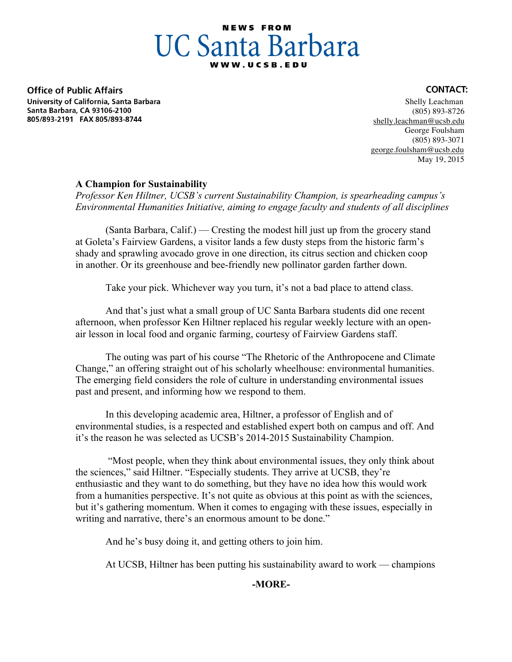# **NEWS FROM UC Santa Barbara**

**Office of Public Affairs** University of California, Santa Barbara Santa Barbara, CA 93106-2100 805/893-2191 FAX 805/893-8744

## **CONTACT:**

 Shelly Leachman (805) 893-8726 shelly.leachman@ucsb.edu George Foulsham (805) 893-3071 george.foulsham@ucsb.edu May 19, 2015

# **A Champion for Sustainability**

*Professor Ken Hiltner, UCSB's current Sustainability Champion, is spearheading campus's Environmental Humanities Initiative, aiming to engage faculty and students of all disciplines*

(Santa Barbara, Calif.) — Cresting the modest hill just up from the grocery stand at Goleta's Fairview Gardens, a visitor lands a few dusty steps from the historic farm's shady and sprawling avocado grove in one direction, its citrus section and chicken coop in another. Or its greenhouse and bee-friendly new pollinator garden farther down.

Take your pick. Whichever way you turn, it's not a bad place to attend class.

And that's just what a small group of UC Santa Barbara students did one recent afternoon, when professor Ken Hiltner replaced his regular weekly lecture with an openair lesson in local food and organic farming, courtesy of Fairview Gardens staff.

The outing was part of his course "The Rhetoric of the Anthropocene and Climate Change," an offering straight out of his scholarly wheelhouse: environmental humanities. The emerging field considers the role of culture in understanding environmental issues past and present, and informing how we respond to them.

In this developing academic area, Hiltner, a professor of English and of environmental studies, is a respected and established expert both on campus and off. And it's the reason he was selected as UCSB's 2014-2015 Sustainability Champion.

"Most people, when they think about environmental issues, they only think about the sciences," said Hiltner. "Especially students. They arrive at UCSB, they're enthusiastic and they want to do something, but they have no idea how this would work from a humanities perspective. It's not quite as obvious at this point as with the sciences, but it's gathering momentum. When it comes to engaging with these issues, especially in writing and narrative, there's an enormous amount to be done."

And he's busy doing it, and getting others to join him.

At UCSB, Hiltner has been putting his sustainability award to work — champions

# **-MORE-**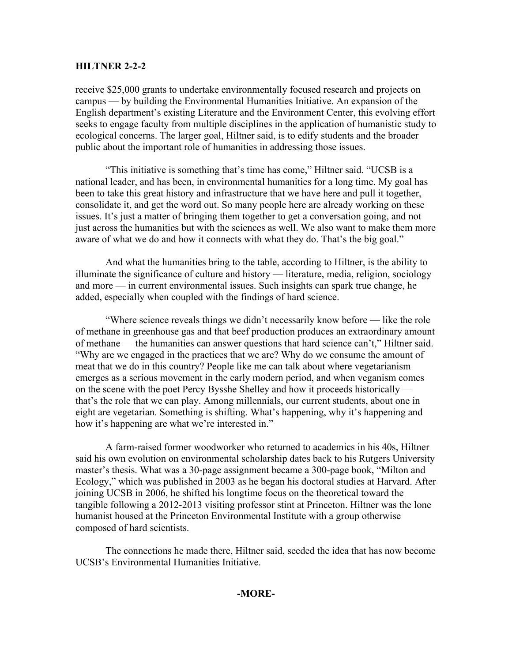## **HILTNER 2-2-2**

receive \$25,000 grants to undertake environmentally focused research and projects on campus — by building the Environmental Humanities Initiative. An expansion of the English department's existing Literature and the Environment Center, this evolving effort seeks to engage faculty from multiple disciplines in the application of humanistic study to ecological concerns. The larger goal, Hiltner said, is to edify students and the broader public about the important role of humanities in addressing those issues.

"This initiative is something that's time has come," Hiltner said. "UCSB is a national leader, and has been, in environmental humanities for a long time. My goal has been to take this great history and infrastructure that we have here and pull it together, consolidate it, and get the word out. So many people here are already working on these issues. It's just a matter of bringing them together to get a conversation going, and not just across the humanities but with the sciences as well. We also want to make them more aware of what we do and how it connects with what they do. That's the big goal."

And what the humanities bring to the table, according to Hiltner, is the ability to illuminate the significance of culture and history — literature, media, religion, sociology and more — in current environmental issues. Such insights can spark true change, he added, especially when coupled with the findings of hard science.

"Where science reveals things we didn't necessarily know before — like the role of methane in greenhouse gas and that beef production produces an extraordinary amount of methane — the humanities can answer questions that hard science can't," Hiltner said. "Why are we engaged in the practices that we are? Why do we consume the amount of meat that we do in this country? People like me can talk about where vegetarianism emerges as a serious movement in the early modern period, and when veganism comes on the scene with the poet Percy Bysshe Shelley and how it proceeds historically that's the role that we can play. Among millennials, our current students, about one in eight are vegetarian. Something is shifting. What's happening, why it's happening and how it's happening are what we're interested in."

A farm-raised former woodworker who returned to academics in his 40s, Hiltner said his own evolution on environmental scholarship dates back to his Rutgers University master's thesis. What was a 30-page assignment became a 300-page book, "Milton and Ecology," which was published in 2003 as he began his doctoral studies at Harvard. After joining UCSB in 2006, he shifted his longtime focus on the theoretical toward the tangible following a 2012-2013 visiting professor stint at Princeton. Hiltner was the lone humanist housed at the Princeton Environmental Institute with a group otherwise composed of hard scientists.

The connections he made there, Hiltner said, seeded the idea that has now become UCSB's Environmental Humanities Initiative.

### **-MORE-**